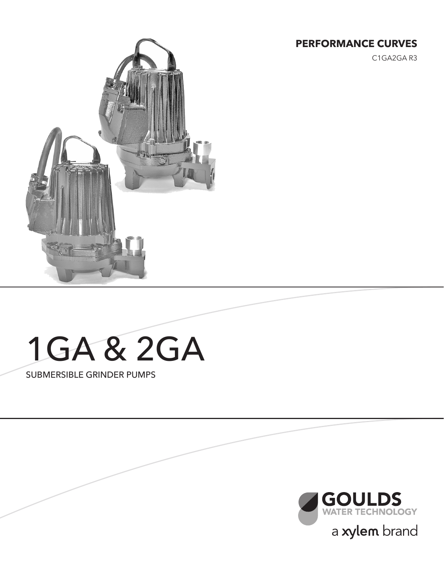#### **PERFORMANCE CURVES**

C1GA2GA R3



# 1GA & 2GA

SUBMERSIBLE GRINDER PUMPS

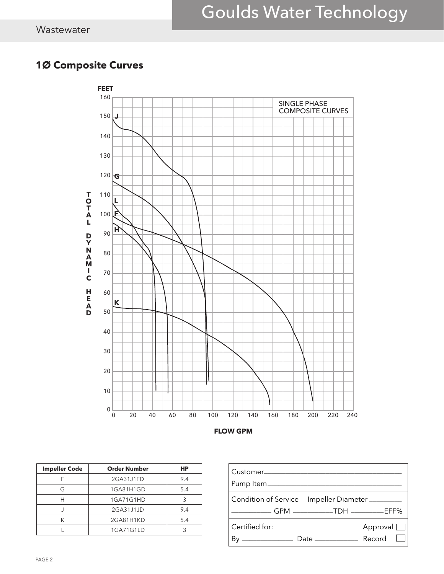### Goulds Water Technology

#### **1Ø Composite Curves**



| <b>Impeller Code</b> | <b>Order Number</b> | НP  |
|----------------------|---------------------|-----|
|                      | 2GA31J1FD           | 9.4 |
| G                    | 1GA81H1GD           | 5.4 |
|                      | 1GA71G1HD           |     |
|                      | 2GA31J1JD           | 9.4 |
|                      | 2GA81H1KD           | 5.4 |
|                      | 1GA71G1LD           |     |

| Customer______________<br>Pump Item______________ |                                        |
|---------------------------------------------------|----------------------------------------|
|                                                   | Condition of Service Impeller Diameter |
| Certified for:                                    | Approval $\Box$                        |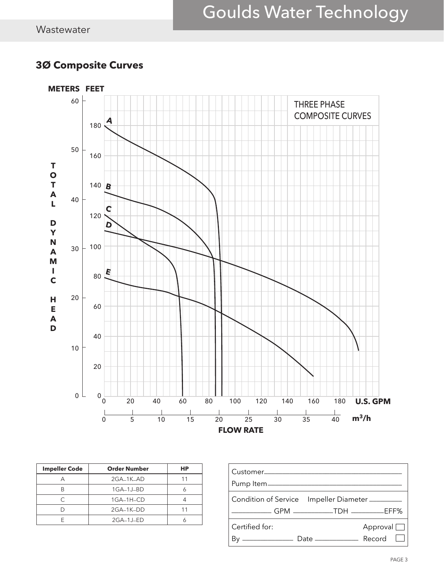### Goulds Water Technology

#### **3Ø Composite Curves**



| <b>Impeller Code</b> | <b>Order Number</b> | НP |
|----------------------|---------------------|----|
|                      | 2GA-1K-AD           |    |
|                      | $1GA-1J-BD$         |    |
| ◠                    | 1GA-1H-CD           |    |
|                      | 2GA-1K-DD           |    |
|                      | $2GA-1J-ED$         |    |

| Customer______________                                                    |                 |  |
|---------------------------------------------------------------------------|-----------------|--|
| Condition of Service Impeller Diameter                                    |                 |  |
| Certified for:<br><u>__________</u> ______ Date __________________ Record | Approval $\Box$ |  |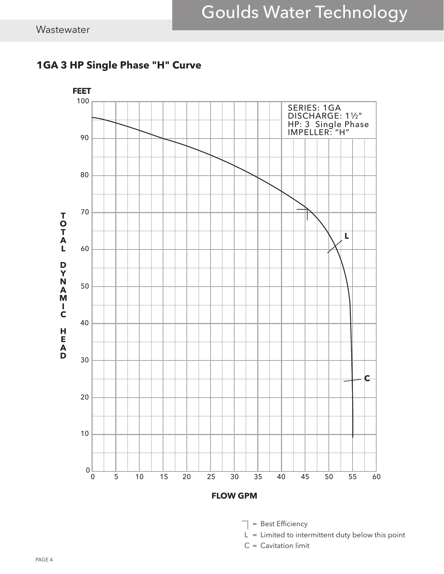

#### **1GA 3 HP Single Phase "H" Curve**



- $L = L$  imited to intermittent duty below this point
- $C =$  Cavitation limit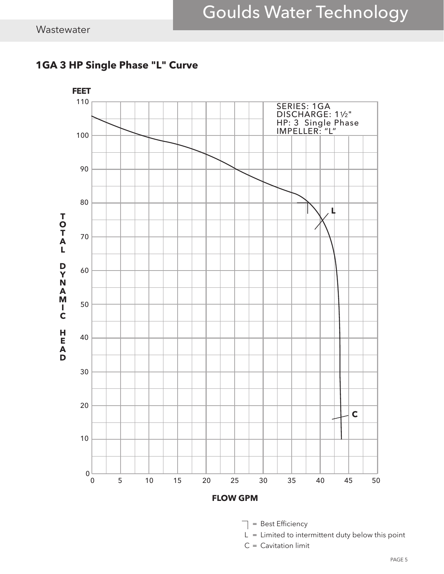

#### **1GA 3 HP Single Phase "L" Curve**



- $L = L$  imited to intermittent duty below this point
- $C =$  Cavitation limit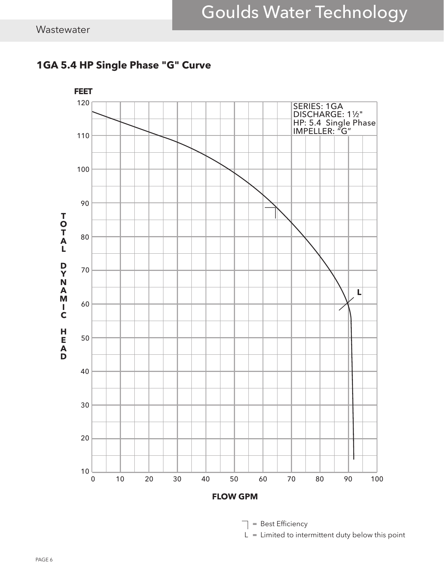



 $\Box$  = Best Efficiency

 $L = L$  imited to intermittent duty below this point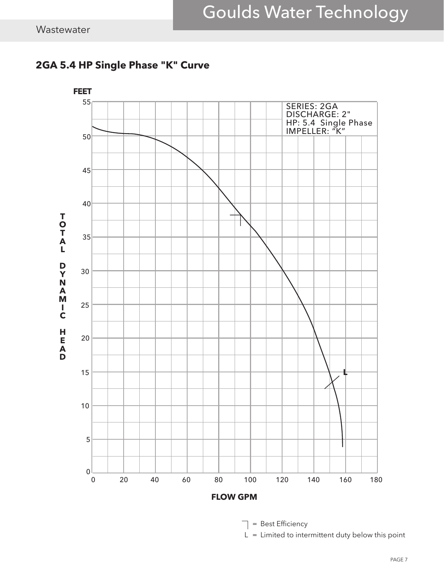

#### **2GA 5.4 HP Single Phase "K" Curve**

= Best Efficiency ┱

 $L = L$  imited to intermittent duty below this point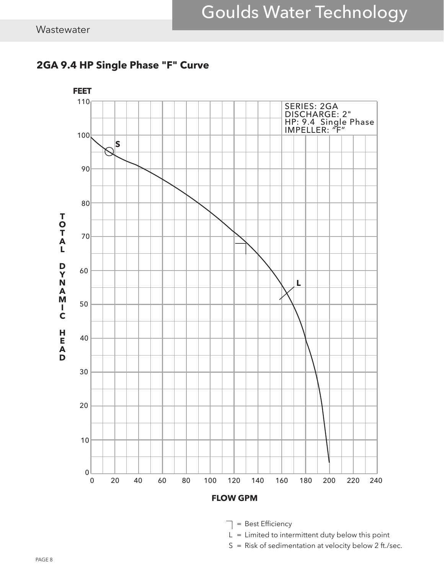

#### **2GA 9.4 HP Single Phase "F" Curve**

 $\Box$  = Best Efficiency

 $L = L$  imited to intermittent duty below this point

S = Risk of sedimentation at velocity below 2 ft./sec.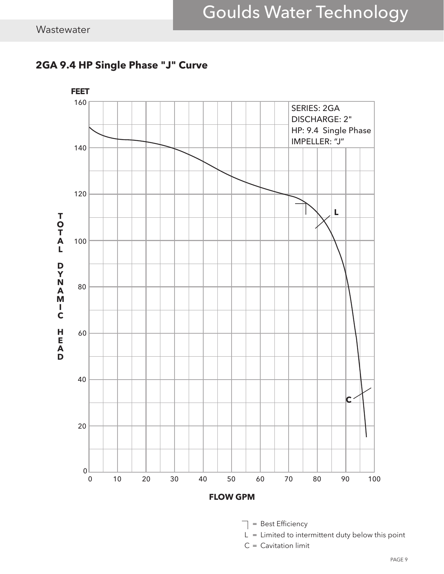



- = Best Efficiency ┱
- $L = L$  imited to intermittent duty below this point
- C = Cavitation limit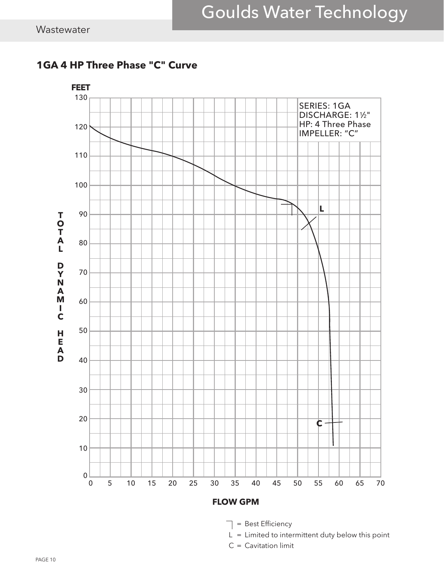

#### **1GA 4 HP Three Phase "C" Curve**



- $L =$  Limited to intermittent duty below this point
- C = Cavitation limit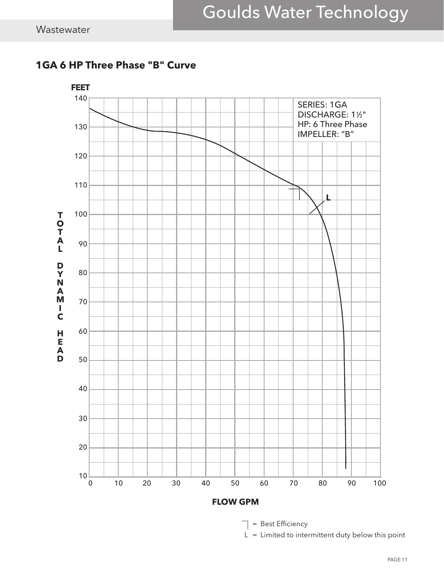

#### **1GA 6 HP Three Phase "B" Curve**

 $\Box$  = Best Efficiency

 $L = L$  imited to intermittent duty below this point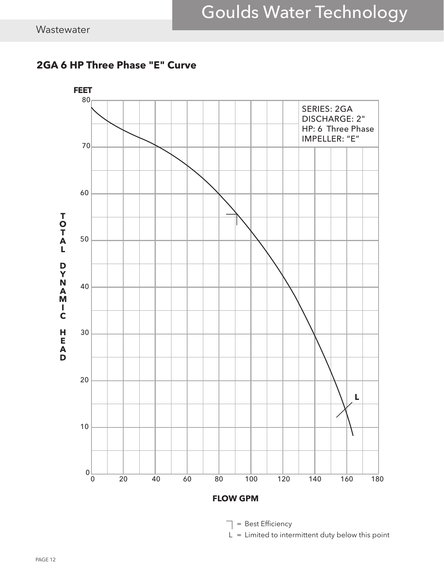



 $\Box$  = Best Efficiency

 $L =$  Limited to intermittent duty below this point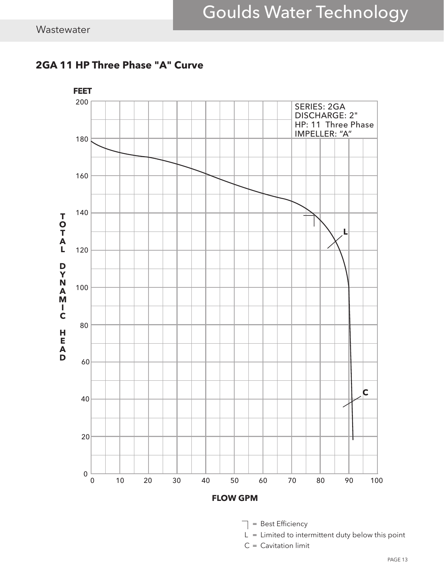

#### **2GA 11 HP Three Phase "A" Curve**



- $L = L$  imited to intermittent duty below this point
- C = Cavitation limit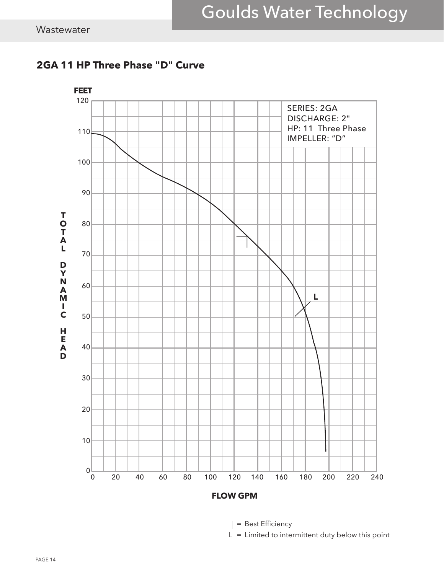

#### **2GA 11 HP Three Phase "D" Curve**

 $\Box$  = Best Efficiency

 $L =$  Limited to intermittent duty below this point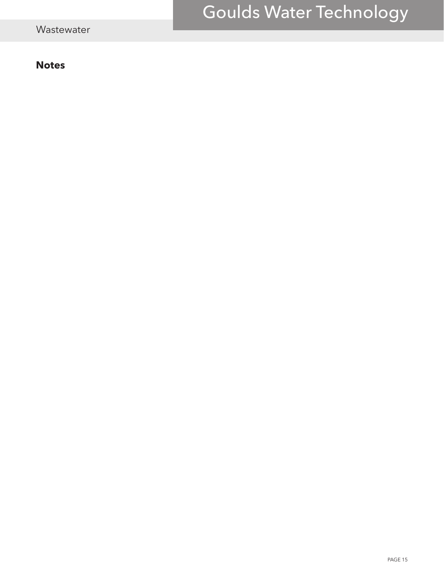## Goulds Water Technology

#### **Notes**